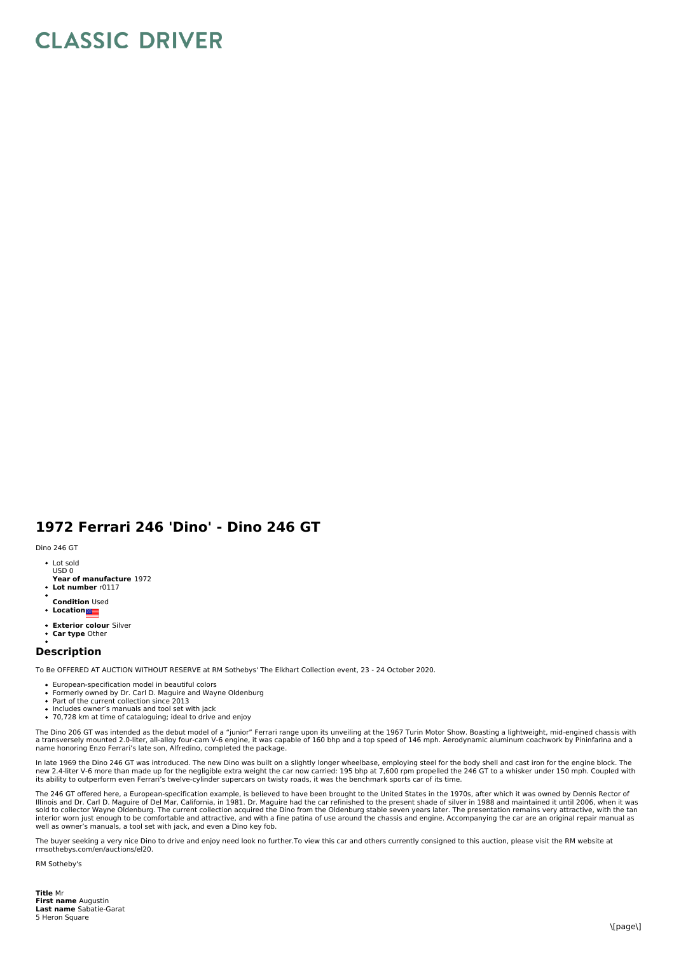## **CLASSIC DRIVER**

## **1972 Ferrari 246 'Dino' - Dino 246 GT**

## Dino 246 GT

- Lot sold USD 0
- **Year of manufacture** 1972
- **Lot number** r0117
- **Condition** Used  $\ddot{\phantom{a}}$
- **Location**
- **Exterior colour** Silver  $\bullet$ **Car type** Other

## **Description**

To Be OFFERED AT AUCTION WITHOUT RESERVE at RM Sothebys' The Elkhart Collection event, 23 - 24 October 2020.

- European-specification model in beautiful colors
- Formerly owned by Dr. Carl D. Maguire and Wayne Oldenburg Part of the current collection since 2013
- Includes owner's manuals and tool set with jack
- 70,728 km at time of cataloguing; ideal to drive and enjoy

The Dino 206 GT was intended as the debut model of a "junior" Ferrari range upon its unveiling at the 1967 Turin Motor Show. Boasting a lightweight, mid-engined chassis with<br>a transversely mounted 2.0-liter, all-alloy four name honoring Enzo Ferrari's late son, Alfredino, completed the package.

In late 1969 the Dino 246 GT was introduced. The new Dino was built on a slightly longer wheelbase, employing steel for the body shell and cast iron for the engine block. The new 2.4-liter V-6 more than made up for the negligible extra weight the car now carried: 195 bhp at 7,600 rpm propelled the 246 GT to a whisker under 150 mph. Coupled with<br>its ability to outperform even Ferrari's twelve-cy

The 246 GT offered here, a European-specification example, is believed to have been brought to the United States in the 1970s, after which it was owned by Dennis Rector of<br>Illinois and Dr. Carl D. Maguire of Del Mar, Calif sold to collector Wayne Oldenburg. The current collection acquired the Dino from the Oldenburg stable seven years later. The presentation remains very attractive, with the tan<br>interior worn just enough to be comfortable an well as owner's manuals, a tool set with jack, and even a Dino key fob.

The buyer seeking a very nice Dino to drive and enjoy need look no further.To view this car and others currently consigned to this auction, please visit the RM website at rmsothebys.com/en/auctions/el20.

RM Sotheby's

**Title** Mr **First name** Augustin **Last name** Sabatie-Garat 5 Heron Square